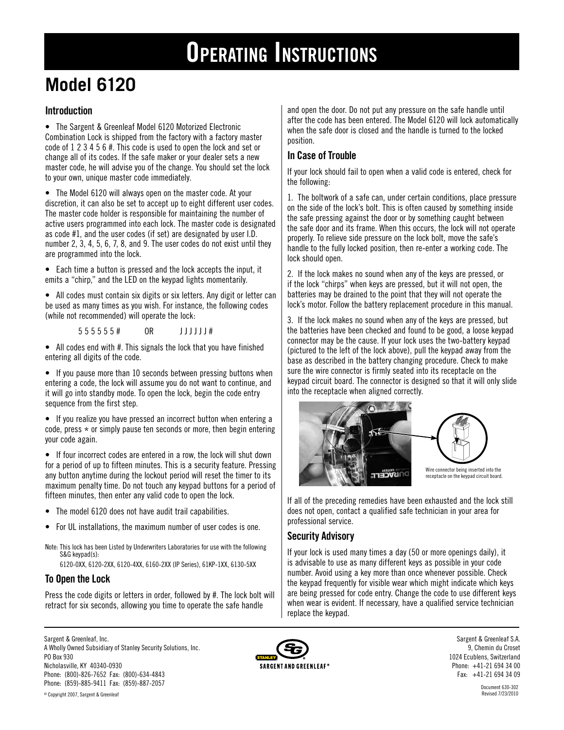# **Operating Instructions**

# **Model 6120**

# **Introduction**

• The Sargent & Greenleaf Model 6120 Motorized Electronic Combination Lock is shipped from the factory with a factory master code of 1 2 3 4 5 6 #. This code is used to open the lock and set or change all of its codes. If the safe maker or your dealer sets a new master code, he will advise you of the change. You should set the lock to your own, unique master code immediately.

• The Model 6120 will always open on the master code. At your discretion, it can also be set to accept up to eight different user codes. The master code holder is responsible for maintaining the number of active users programmed into each lock. The master code is designated as code #1, and the user codes (if set) are designated by user I.D. number 2, 3, 4, 5, 6, 7, 8, and 9. The user codes do not exist until they are programmed into the lock.

• Each time a button is pressed and the lock accepts the input, it emits a "chirp," and the LED on the keypad lights momentarily.

• All codes must contain six digits or six letters. Any digit or letter can be used as many times as you wish. For instance, the following codes (while not recommended) will operate the lock:

5 5 5 5 5 5 5 + 0R J J J J J J #

• All codes end with #. This signals the lock that you have finished entering all digits of the code.

• If you pause more than 10 seconds between pressing buttons when entering a code, the lock will assume you do not want to continue, and it will go into standby mode. To open the lock, begin the code entry sequence from the first step.

• If you realize you have pressed an incorrect button when entering a code, press  $*$  or simply pause ten seconds or more, then begin entering your code again.

• If four incorrect codes are entered in a row, the lock will shut down for a period of up to fifteen minutes. This is a security feature. Pressing any button anytime during the lockout period will reset the timer to its maximum penalty time. Do not touch any keypad buttons for a period of fifteen minutes, then enter any valid code to open the lock.

- The model 6120 does not have audit trail capabilities.
- For UL installations, the maximum number of user codes is one.
- Note: This lock has been Listed by Underwriters Laboratories for use with the following S&G keypad(s):

6120-0XX, 6120-2XX, 6120-4XX, 6160-2XX (IP Series), 61KP-1XX, 6130-5XX

# **To Open the Lock**

Press the code digits or letters in order, followed by #. The lock bolt will retract for six seconds, allowing you time to operate the safe handle

Sargent & Greenleaf, Inc. A Wholly Owned Subsidiary of Stanley Security Solutions, Inc. PO Box 930 Nicholasville, KY 40340-0930 Phone: (800)-826-7652 Fax: (800)-634-4843

Phone: (859)-885-9411 Fax: (859)-887-2057

**SARGENT AND GREENLEAF®** 

and open the door. Do not put any pressure on the safe handle until after the code has been entered. The Model 6120 will lock automatically when the safe door is closed and the handle is turned to the locked position.

# **In Case of Trouble**

If your lock should fail to open when a valid code is entered, check for the following:

1. The boltwork of a safe can, under certain conditions, place pressure on the side of the lock's bolt. This is often caused by something inside the safe pressing against the door or by something caught between the safe door and its frame. When this occurs, the lock will not operate properly. To relieve side pressure on the lock bolt, move the safe's handle to the fully locked position, then re-enter a working code. The lock should open.

2. If the lock makes no sound when any of the keys are pressed, or if the lock "chirps" when keys are pressed, but it will not open, the batteries may be drained to the point that they will not operate the lock's motor. Follow the battery replacement procedure in this manual.

3. If the lock makes no sound when any of the keys are pressed, but the batteries have been checked and found to be good, a loose keypad connector may be the cause. If your lock uses the two-battery keypad (pictured to the left of the lock above), pull the keypad away from the base as described in the battery changing procedure. Check to make sure the wire connector is firmly seated into its receptacle on the keypad circuit board. The connector is designed so that it will only slide into the receptacle when aligned correctly.



If all of the preceding remedies have been exhausted and the lock still does not open, contact a qualified safe technician in your area for professional service.

# **Security Advisory**

If your lock is used many times a day (50 or more openings daily), it is advisable to use as many different keys as possible in your code number. Avoid using a key more than once whenever possible. Check the keypad frequently for visible wear which might indicate which keys are being pressed for code entry. Change the code to use different keys when wear is evident. If necessary, have a qualified service technician replace the keypad.

> Sargent & Greenleaf S.A. 9, Chemin du Croset 1024 Ecublens, Switzerland Phone: +41-21 694 34 00 Fax: +41-21 694 34 09

> > Document 630-302 Revised 7/23/2010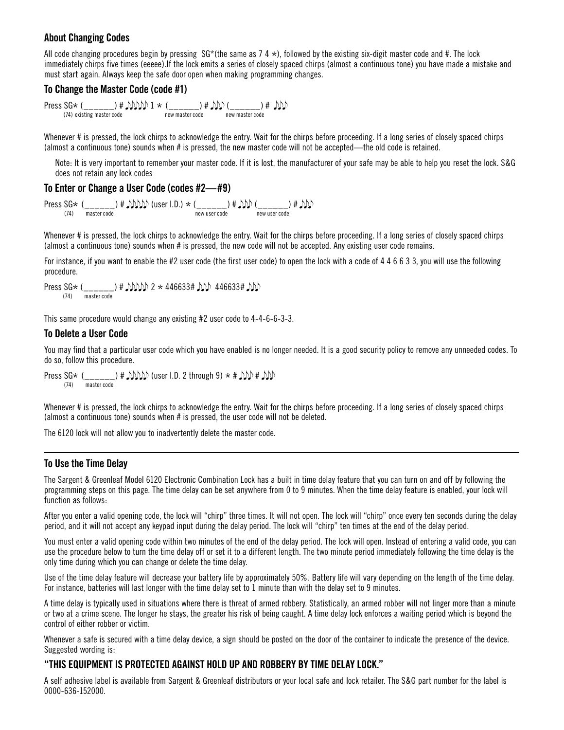# **About Changing Codes**

All code changing procedures begin by pressing  $SG^*($ the same as 7 4  $*)$ , followed by the existing six-digit master code and #. The lock immediately chirps five times (eeeee).If the lock emits a series of closely spaced chirps (almost a continuous tone) you have made a mistake and must start again. Always keep the safe door open when making programming changes.

#### **To Change the Master Code (code #1)**

 $\text{Press SG} \times (\_\_\_\_\_\_\_\) \ \# \ \text{MMD} \ 1 \times (\_\_\_\_\_\_\) \ \# \ \text{MD} (\_\_\_\_\_\\) \ \# \ \text{DD}$ 

Whenever # is pressed, the lock chirps to acknowledge the entry. Wait for the chirps before proceeding. If a long series of closely spaced chirps (almost a continuous tone) sounds when # is pressed, the new master code will not be accepted—the old code is retained.

Note: It is very important to remember your master code. If it is lost, the manufacturer of your safe may be able to help you reset the lock. S&G does not retain any lock codes

#### **To Enter or Change a User Code (codes #2—#9)**

 $\text{Press SG} \times (\underbrace{\hspace{2cm}}_{(74)} \underbrace{\hspace{2cm}}_{\text{master code}}) \text{ # } \text{JMD} \text{)} \text{ (user I.D.)} \times (\underbrace{\hspace{2cm}}_{\text{new user code}}) \text{ # } \text{MD} \text{ } (\underbrace{\hspace{2cm}}_{\text{new user code}}) \text{ # } \text{DD} \text{ }$ 

Whenever # is pressed, the lock chirps to acknowledge the entry. Wait for the chirps before proceeding. If a long series of closely spaced chirps (almost a continuous tone) sounds when # is pressed, the new code will not be accepted. Any existing user code remains.

For instance, if you want to enable the #2 user code (the first user code) to open the lock with a code of 4 4 6 6 3 3, you will use the following procedure.

Press SG\* (\_\_\_\_\_\_) #  $\rho \rho \rho \to 446633# \rho \rho \to 446633# \rho \rho$ (74) master code

This same procedure would change any existing #2 user code to 4-4-6-6-3-3.

#### **To Delete a User Code**

You may find that a particular user code which you have enabled is no longer needed. It is a good security policy to remove any unneeded codes. To do so, follow this procedure.

Press  $SG*$  (\_\_\_\_\_\_) #  $MDD$  (user I.D. 2 through 9)  $*$  #  $DD$  #  $DD$ (74) master code

Whenever # is pressed, the lock chirps to acknowledge the entry. Wait for the chirps before proceeding. If a long series of closely spaced chirps (almost a continuous tone) sounds when # is pressed, the user code will not be deleted.

The 6120 lock will not allow you to inadvertently delete the master code.

#### **To Use the Time Delay**

The Sargent & Greenleaf Model 6120 Electronic Combination Lock has a built in time delay feature that you can turn on and off by following the programming steps on this page. The time delay can be set anywhere from 0 to 9 minutes. When the time delay feature is enabled, your lock will function as follows:

After you enter a valid opening code, the lock will "chirp" three times. It will not open. The lock will "chirp" once every ten seconds during the delay period, and it will not accept any keypad input during the delay period. The lock will "chirp" ten times at the end of the delay period.

You must enter a valid opening code within two minutes of the end of the delay period. The lock will open. Instead of entering a valid code, you can use the procedure below to turn the time delay off or set it to a different length. The two minute period immediately following the time delay is the only time during which you can change or delete the time delay.

Use of the time delay feature will decrease your battery life by approximately 50%. Battery life will vary depending on the length of the time delay. For instance, batteries will last longer with the time delay set to 1 minute than with the delay set to 9 minutes.

A time delay is typically used in situations where there is threat of armed robbery. Statistically, an armed robber will not linger more than a minute or two at a crime scene. The longer he stays, the greater his risk of being caught. A time delay lock enforces a waiting period which is beyond the control of either robber or victim.

Whenever a safe is secured with a time delay device, a sign should be posted on the door of the container to indicate the presence of the device. Suggested wording is:

# **"THIS EQUIPMENT IS PROTECTED AGAINST HOLD UP AND ROBBERY BY TIME DELAY LOCK."**

A self adhesive label is available from Sargent & Greenleaf distributors or your local safe and lock retailer. The S&G part number for the label is 0000-636-152000.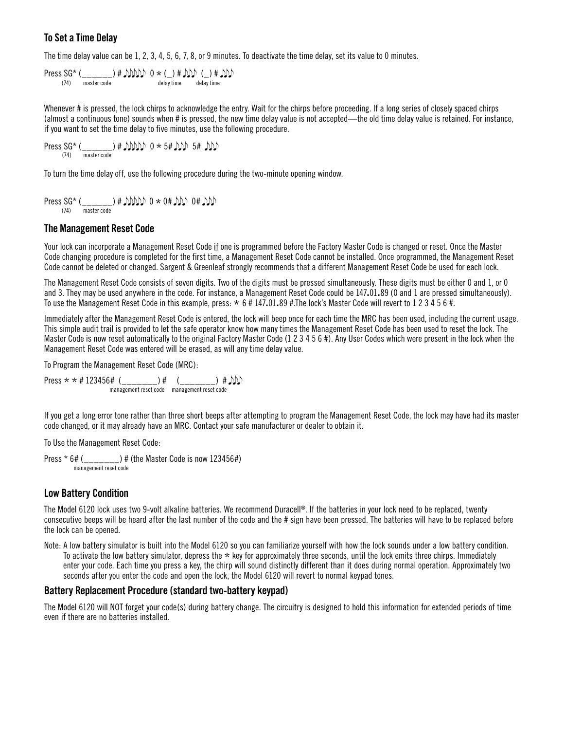# **To Set a Time Delay**

The time delay value can be 1, 2, 3, 4, 5, 6, 7, 8, or 9 minutes. To deactivate the time delay, set its value to 0 minutes.

Press SG\*  $(\frac{1}{(74)}$  master code  $\left(\frac{1}{(74)}\right)$  m  $\left(\frac{1}{(74)}\right)$  m  $\left(\frac{1}{(74)}\right)$  m  $\left(\frac{1}{(74)}\right)$  m  $\left(\frac{1}{(74)}\right)$  m  $\left(\frac{1}{(74)}\right)$  m  $\left(\frac{1}{(74)}\right)$  m  $\left(\frac{1}{(74)}\right)$  m  $\left(\frac{1}{(74)}\right)$  m  $\left(\frac{1}{(74)}\right)$ delay time

Whenever # is pressed, the lock chirps to acknowledge the entry. Wait for the chirps before proceeding. If a long series of closely spaced chirps (almost a continuous tone) sounds when # is pressed, the new time delay value is not accepted—the old time delay value is retained. For instance, if you want to set the time delay to five minutes, use the following procedure.

Press SG\* (\_\_\_\_\_\_) # JJJJJJ  $0 \star 5$ # JJJJ  $5$ # JJJJ

To turn the time delay off, use the following procedure during the two-minute opening window.

Press SG\* (\_\_\_\_\_\_) # 0 \* 0# 0# (74) master code

#### **The Management Reset Code**

Your lock can incorporate a Management Reset Code if one is programmed before the Factory Master Code is changed or reset. Once the Master Code changing procedure is completed for the first time, a Management Reset Code cannot be installed. Once programmed, the Management Reset Code cannot be deleted or changed. Sargent & Greenleaf strongly recommends that a different Management Reset Code be used for each lock.

The Management Reset Code consists of seven digits. Two of the digits must be pressed simultaneously. These digits must be either 0 and 1, or 0 and 3. They may be used anywhere in the code. For instance, a Management Reset Code could be 147.01.89 (0 and 1 are pressed simultaneously). To use the Management Reset Code in this example, press:  $* 6 # 147.01.89$  #. The lock's Master Code will revert to 1 2 3 4 5 6 #.

Immediately after the Management Reset Code is entered, the lock will beep once for each time the MRC has been used, including the current usage. This simple audit trail is provided to let the safe operator know how many times the Management Reset Code has been used to reset the lock. The Master Code is now reset automatically to the original Factory Master Code (1 2 3 4 5 6 #). Any User Codes which were present in the lock when the Management Reset Code was entered will be erased, as will any time delay value.

To Program the Management Reset Code (MRC):

Press  $* * # 123456#$  (\_\_\_\_\_\_\_) # (\_\_\_\_\_\_\_) #  $\bigcirc$ management reset code management reset code

If you get a long error tone rather than three short beeps after attempting to program the Management Reset Code, the lock may have had its master code changed, or it may already have an MRC. Contact your safe manufacturer or dealer to obtain it.

To Use the Management Reset Code:

Press \* 6# (\_\_\_\_\_\_\_) # (the Master Code is now 123456#) management reset code

# **Low Battery Condition**

The Model 6120 lock uses two 9-volt alkaline batteries. We recommend Duracell®. If the batteries in your lock need to be replaced, twenty consecutive beeps will be heard after the last number of the code and the # sign have been pressed. The batteries will have to be replaced before the lock can be opened.

Note: A low battery simulator is built into the Model 6120 so you can familiarize yourself with how the lock sounds under a low battery condition. To activate the low battery simulator, depress the  $*$  key for approximately three seconds, until the lock emits three chirps. Immediately enter your code. Each time you press a key, the chirp will sound distinctly different than it does during normal operation. Approximately two seconds after you enter the code and open the lock, the Model 6120 will revert to normal keypad tones.

#### **Battery Replacement Procedure (standard two-battery keypad)**

The Model 6120 will NOT forget your code(s) during battery change. The circuitry is designed to hold this information for extended periods of time even if there are no batteries installed.